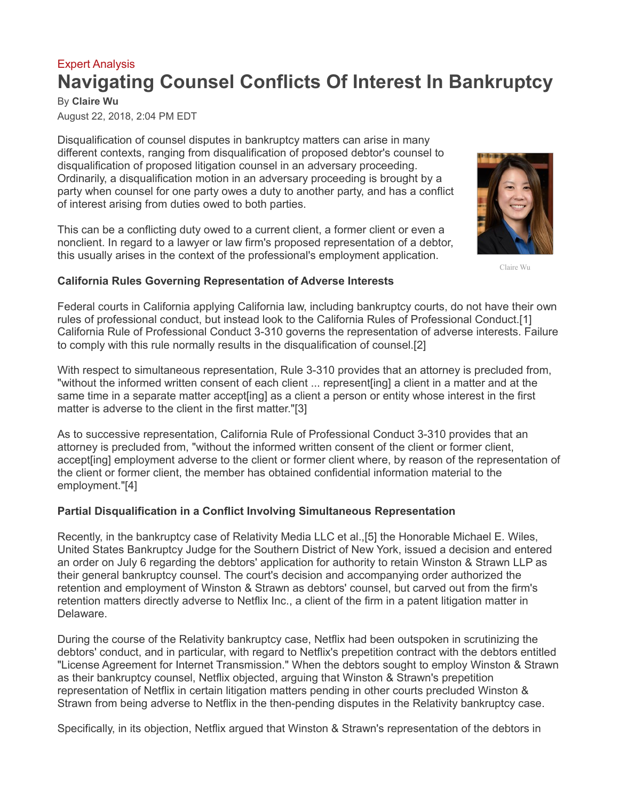## [Expert Analysis](https://www.law360.com/expertanalysis) **Navigating Counsel Conflicts Of Interest In Bankruptcy**

By **Claire Wu** August 22, 2018, 2:04 PM EDT

Disqualification of counsel disputes in bankruptcy matters can arise in many different contexts, ranging from disqualification of proposed debtor's counsel to disqualification of proposed litigation counsel in an adversary proceeding. Ordinarily, a disqualification motion in an adversary proceeding is brought by a party when counsel for one party owes a duty to another party, and has a conflict of interest arising from duties owed to both parties.

This can be a conflicting duty owed to a current client, a former client or even a nonclient. In regard to a lawyer or law firm's proposed representation of a debtor, this usually arises in the context of the professional's employment application.



Claire Wu

## **California Rules Governing Representation of Adverse Interests**

Federal courts in California applying California law, including bankruptcy courts, do not have their own rules of professional conduct, but instead look to the California Rules of Professional Conduct.[1] California Rule of Professional Conduct 3-310 governs the representation of adverse interests. Failure to comply with this rule normally results in the disqualification of counsel.[2]

With respect to simultaneous representation, Rule 3-310 provides that an attorney is precluded from, "without the informed written consent of each client ... represent[ing] a client in a matter and at the same time in a separate matter accept[ing] as a client a person or entity whose interest in the first matter is adverse to the client in the first matter."[3]

As to successive representation, California Rule of Professional Conduct 3-310 provides that an attorney is precluded from, "without the informed written consent of the client or former client, accept[ing] employment adverse to the client or former client where, by reason of the representation of the client or former client, the member has obtained confidential information material to the employment."[4]

## **Partial Disqualification in a Conflict Involving Simultaneous Representation**

Recently, in the bankruptcy case of [Relativity Media LLC](https://www.law360.com/companies/relativity-media-llc) et al.,[5] the Honorable Michael E. Wiles, United States Bankruptcy Judge for the Southern District of New York, issued a decision and entered an order on July 6 regarding the debtors' application for authority to retain [Winston & Strawn LLP](https://www.law360.com/firms/winston-strawn) as their general bankruptcy counsel. The court's decision and accompanying order authorized the retention and employment of Winston & Strawn as debtors' counsel, but carved out from the firm's retention matters directly adverse to [Netflix Inc.](https://www.law360.com/companies/netflix-inc), a client of the firm in a patent litigation matter in Delaware.

During the course of the Relativity bankruptcy case, Netflix had been outspoken in scrutinizing the debtors' conduct, and in particular, with regard to Netflix's prepetition contract with the debtors entitled "License Agreement for Internet Transmission." When the debtors sought to employ Winston & Strawn as their bankruptcy counsel, Netflix objected, arguing that Winston & Strawn's prepetition representation of Netflix in certain litigation matters pending in other courts precluded Winston & Strawn from being adverse to Netflix in the then-pending disputes in the Relativity bankruptcy case.

Specifically, in its objection, Netflix argued that Winston & Strawn's representation of the debtors in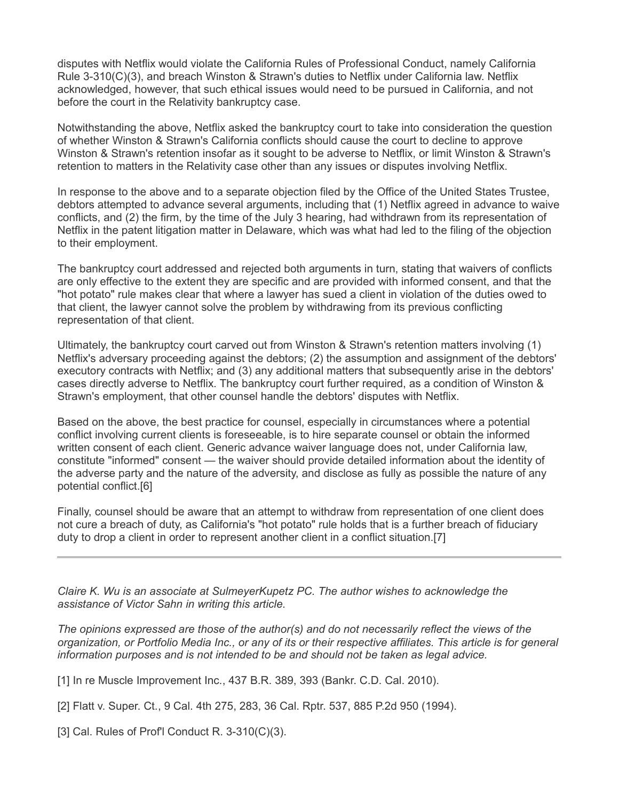disputes with Netflix would violate the California Rules of Professional Conduct, namely California Rule 3-310(C)(3), and breach Winston & Strawn's duties to Netflix under California law. Netflix acknowledged, however, that such ethical issues would need to be pursued in California, and not before the court in the Relativity bankruptcy case.

Notwithstanding the above, Netflix asked the bankruptcy court to take into consideration the question of whether Winston & Strawn's California conflicts should cause the court to decline to approve Winston & Strawn's retention insofar as it sought to be adverse to Netflix, or limit Winston & Strawn's retention to matters in the Relativity case other than any issues or disputes involving Netflix.

In response to the above and to a separate objection filed by the Office of the United States Trustee, debtors attempted to advance several arguments, including that (1) Netflix agreed in advance to waive conflicts, and (2) the firm, by the time of the July 3 hearing, had withdrawn from its representation of Netflix in the patent litigation matter in Delaware, which was what had led to the filing of the objection to their employment.

The bankruptcy court addressed and rejected both arguments in turn, stating that waivers of conflicts are only effective to the extent they are specific and are provided with informed consent, and that the "hot potato" rule makes clear that where a lawyer has sued a client in violation of the duties owed to that client, the lawyer cannot solve the problem by withdrawing from its previous conflicting representation of that client.

Ultimately, the bankruptcy court carved out from Winston & Strawn's retention matters involving (1) Netflix's adversary proceeding against the debtors; (2) the assumption and assignment of the debtors' executory contracts with Netflix; and (3) any additional matters that subsequently arise in the debtors' cases directly adverse to Netflix. The bankruptcy court further required, as a condition of Winston & Strawn's employment, that other counsel handle the debtors' disputes with Netflix.

Based on the above, the best practice for counsel, especially in circumstances where a potential conflict involving current clients is foreseeable, is to hire separate counsel or obtain the informed written consent of each client. Generic advance waiver language does not, under California law, constitute "informed" consent — the waiver should provide detailed information about the identity of the adverse party and the nature of the adversity, and disclose as fully as possible the nature of any potential conflict.[6]

Finally, counsel should be aware that an attempt to withdraw from representation of one client does not cure a breach of duty, as California's "hot potato" rule holds that is a further breach of fiduciary duty to drop a client in order to represent another client in a conflict situation.[7]

*[Claire K. Wu](https://sulmeyerlaw.com/professionals/claire-k-wu-2/) is an associate at [SulmeyerKupetz PC.](https://www.law360.com/firms/sulmeyerkupetz) The author wishes to acknowledge the assistance of Victor Sahn in writing this article.*

*The opinions expressed are those of the author(s) and do not necessarily reflect the views of the organization, or Portfolio Media Inc., or any of its or their respective affiliates. This article is for general information purposes and is not intended to be and should not be taken as legal advice.*

[1] In re Muscle Improvement Inc., 437 B.R. 389, 393 (Bankr. C.D. Cal. 2010).

[2] Flatt v. Super. Ct., 9 Cal. 4th 275, 283, 36 Cal. Rptr. 537, 885 P.2d 950 (1994).

[3] Cal. Rules of Prof'l Conduct R. 3-310(C)(3).